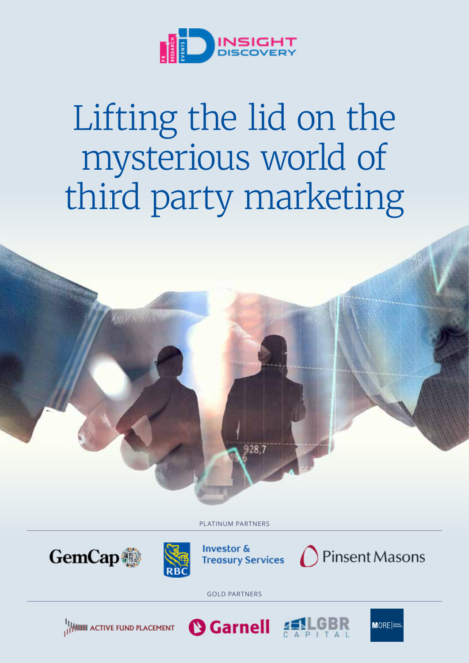

# Lifting the lid on the mysterious world of third party marketing

PLATINUM PARTNERS





**Investor & Treasury Services** 

928.7

**Pinsent Masons** 

GOLD PARTNERS





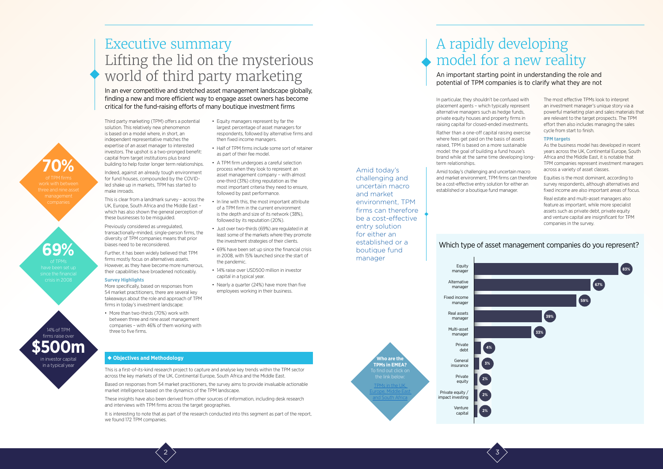

In an ever competitive and stretched asset management landscape globally, finding a new and more efficient way to engage asset owners has become critical for the fund-raising efforts of many boutique investment firms

## An important starting point in understanding the role and potential of TPM companies is to clarify what they are not

# Executive summary Lifting the lid on the mysterious world of third party marketing

# A rapidly developing model for a new reality

Third party marketing (TPM) offers a potential solution. This relatively new phenomenon is based on a model where, in short, an independent representative matches the expertise of an asset manager to interested investors. The upshot is a two-pronged benefit: capital from target institutions plus brand building to help foster longer term relationships.

Indeed, against an already tough environment for fund houses, compounded by the COVIDled shake up in markets, TPM has started to make inroads.

This is clear from a landmark survey – across the UK, Europe, South Africa and the Middle East – which has also shown the general perception of these businesses to be misguided.

Previously considered as unregulated, transactionally-minded, single-person firms, the diversity of TPM companies means that prior biases need to be reconsidered.

Further, it has been widely believed that TPM firms mostly focus on alternatives assets. However, as they have become more numerous, their capabilities have broadened noticeably.

## **Survey Highlights**

More specifically, based on responses from 54 market practitioners, there are several key takeaways about the role and approach of TPM firms in today's investment landscape:

## • Equity managers represent by far the largest percentage of asset managers for respondents, followed by alternative firms and then fixed income managers.

- Half of TPM firms include some sort of retainer as part of their fee model.
- A TPM firm undergoes a careful selection process when they look to represent an asset management company – with almost one-third (31%) citing reputation as the most important criteria they need to ensure, followed by past performance.
- In line with this, the most important attribute of a TPM firm in the current environment is the depth and size of its network (38%), followed by its reputation (20%).
- Just over two-thirds (69%) are regulated in at least some of the markets where they promote the investment strategies of their clients.
- 69% have been set up since the financial crisis in 2008, with 15% launched since the start of the pandemic.
- 14% raise over USD500 million in investor capital in a typical year.
- Nearly a quarter (24%) have more than five employees working in their business.

**Who are the TPMs in EMEA?** To find out click on the link below: TPMs in the UK, Europe, Middle Ea nd South Afri

In particular, they shouldn't be confused with placement agents – which typically represent alternative managers such as hedge funds, private equity houses and property firms in raising capital for closed-ended investments.

Rather than a one-off capital raising exercise where fees get paid on the basis of assets raised, TPM is based on a more sustainable model: the goal of building a fund house's brand while at the same time developing longterm relationships.

- More than two-thirds (70%) work with between three and nine asset management companies – with 46% of them working with three to five firms.
- ◆ **Objectives and Methodology**

Amid today's challenging and uncertain macro and market environment, TPM firms can therefore be a cost-effective entry solution for either an established or a boutique fund manager.



The most effective TPMs look to interpret an investment manager's unique story via a powerful marketing plan and sales materials that are relevant to the target prospects. The TPM effort then also includes managing the sales cycle from start to finish.

## **TPM targets**

As the business model has developed in recent years across the UK, Continental Europe, South Africa and the Middle East, it is notable that TPM companies represent investment managers across a variety of asset classes.

Equities is the most dominant, according to survey respondents, although alternatives and fixed income are also important areas of focus.

Real estate and multi-asset managers also feature as important, while more specialist assets such as private debt, private equity and venture capital are insignificant for TPM companies in the survey.

This is a first-of-its-kind research project to capture and analyse key trends within the TPM sector across the key markets of the UK, Continental Europe, South Africa and the Middle East.

Based on responses from 54 market practitioners, the survey aims to provide invaluable actionable market intelligence based on the dynamics of the TPM landscape.

These insights have also been derived from other sources of information, including desk research and interviews with TPM firms across the target geographies.

It is interesting to note that as part of the research conducted into this segment as part of the report, we found 172 TPM companies.

**70%** 

three and nine asset

**69%** 

have been set up since the financial crisis in 2008

14% of TPM firms raise over

**\$500m**  in investor capital in a typical year

compai

## Which type of asset management companies do you represent?



Amid today's challenging and uncertain macro and market environment, TPM firms can therefore be a cost-effective entry solution for either an established or a boutique fund manager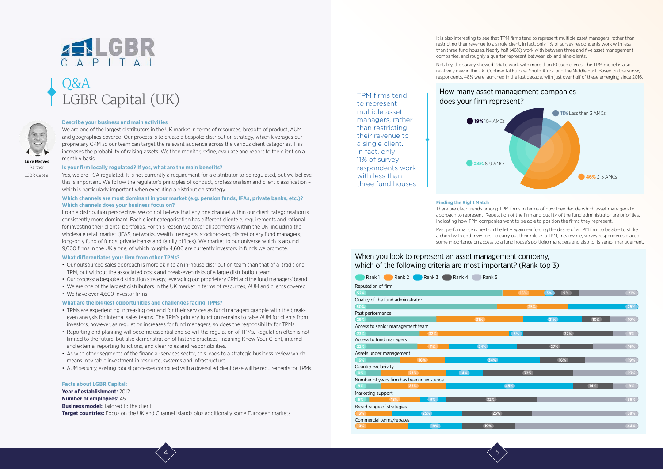## **Describe your business and main activities**

We are one of the largest distributors in the UK market in terms of resources, breadth of product, AUM and geographies covered. Our process is to create a bespoke distribution strategy, which leverages our proprietary CRM so our team can target the relevant audience across the various client categories. This increases the probability of raising assets. We then monitor, refine, evaluate and report to the client on a monthly basis.

Yes, we are FCA regulated. It is not currently a requirement for a distributor to be regulated, but we believe this is important. We follow the regulator's principles of conduct, professionalism and client classification – which is particularly important when executing a distribution strategy.

From a distribution perspective, we do not believe that any one channel within our client categorisation is consistently more dominant. Each client categorisation has different clientele, requirements and rational for investing their clients' portfolios. For this reason we cover all segments within the UK, including the wholesale retail market (IFAS, networks, wealth managers, stockbrokers, discretionary fund managers, long-only fund of funds, private banks and family offices). We market to our universe which is around 9,000 firms in the UK alone, of which roughly 4,600 are currently investors in funds we promote.

### **Is your firm locally regulated? If yes, what are the main benefits?**

## **Which channels are most dominant in your market (e.g. pension funds, IFAs, private banks, etc.)? Which channels does your business focus on?**

### **What differentiates your firm from other TPMs?**

- Our outsourced sales approach is more akin to an in-house distribution team than that of a traditional TPM, but without the associated costs and break-even risks of a large distribution team
- Our process: a bespoke distribution strategy, leveraging our proprietary CRM and the fund managers' brand
- We are one of the largest distributors in the UK market in terms of resources, AUM and clients covered
- We have over 4,600 investor firms

## **What are the biggest opportunities and challenges facing TPMs?**

## When you look to represent an asset management company, which of the following criteria are most important? (Rank top 3)

- TPMs are experiencing increasing demand for their services as fund managers grapple with the breakeven analysis for internal sales teams. The TPM's primary function remains to raise AUM for clients from investors, however, as regulation increases for fund managers, so does the responsibility for TPMs.
- Reporting and planning will become essential and so will the regulation of TPMs. Regulation often is not limited to the future, but also demonstration of historic practices, meaning Know Your Client, internal and external reporting functions, and clear roles and responsibilities.
- As with other segments of the financial-services sector, this leads to a strategic business review which means inevitable investment in resource, systems and infrastructure.
- AUM security, existing robust processes combined with a diversified client base will be requirements for TPMs.

## **Facts about LGBR Capital:**

**Year of establishment:** 2012 **Number of employees:** 45 **Business model:** Tailored to the client **Target countries:** Focus on the UK and Channel Islands plus additionally some European markets







Partner LGBR Captial





It is also interesting to see that TPM firms tend to represent multiple asset managers, rather than restricting their revenue to a single client. In fact, only 11% of survey respondents work with less than three fund houses. Nearly half (46%) work with between three and five asset management companies, and roughly a quarter represent between six and nine clients.

Notably, the survey showed 19% to work with more than 10 such clients. The TPM model is also relatively new in the UK, Continental Europe, South Africa and the Middle East. Based on the survey respondents, 48% were launched in the last decade, with just over half of these emerging since 2016.

**Finding the Right Match**

There are clear trends among TPM firms in terms of how they decide which asset managers to approach to represent. Reputation of the firm and quality of the fund administrator are priorities, indicating how TPM companies want to be able to position the firms they represent.

| Rank 2<br>Rank 1                           | Rank 3 | Rank 4 | Rank 5 |     |          |     |     |
|--------------------------------------------|--------|--------|--------|-----|----------|-----|-----|
| Reputation of firm                         |        |        |        |     |          |     |     |
| (52%                                       |        |        |        | 15% | 9%<br>3% |     | 21% |
| Quality of the fund administrator          |        |        |        |     |          |     |     |
| (50%)                                      |        |        |        | 25% |          |     | 25% |
| Past performance                           |        |        |        |     |          |     |     |
| (29%                                       |        |        | 31%    |     | (21%)    | 10% | 10% |
| Access to senior management team           |        |        |        |     |          |     |     |
| (23%                                       | 32%    |        |        | 5%  |          |     | 9%  |
| Access to fund managers                    |        |        |        |     |          |     |     |
| (22%                                       | 11%    |        | 24%    |     | 27%      |     | 16% |
| Assets under management                    |        |        |        |     |          |     |     |
| (16%                                       | 16%    |        | 34%    |     | 16%      |     | 19% |
| Country exclusivity                        |        |        |        |     |          |     |     |
| 23%<br>9%                                  |        | (14%)  |        | 32% |          |     | 23% |
| Number of years firm has been in existence |        |        |        |     |          |     |     |
| 9%<br>23%                                  |        |        | (45%)  |     |          | 14% | 9%  |
| Marketing support                          |        |        |        |     |          |     |     |
| 5%<br>18%                                  | 9%     |        | 32%    |     |          |     | 36% |
| Broad range of strategies                  |        |        |        |     |          |     |     |
| 13%                                        | (25%)  |        | 25%    |     |          |     | 38% |
| Commercial terms/rebates                   |        |        |        |     |          |     |     |
| (19%                                       | (19%)  |        | 19%    |     |          |     | 44% |

 $4$   $>$   $\leq$  5

Past performance is next on the list – again reinforcing the desire of a TPM firm to be able to strike a chord with end-investors. To carry out their role as a TPM, meanwhile, survey respondents placed some importance on access to a fund house's portfolio managers and also to its senior management.

How many asset management companies



TPM firms tend to represent multiple asset managers, rather than restricting their revenue to a single client. In fact, only 11% of survey respondents work with less than three fund houses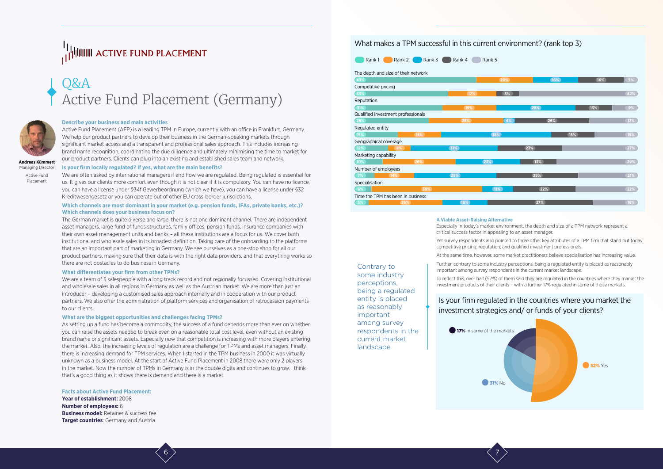



Active Fund Placement (AFP) is a leading TPM in Europe, currently with an office in Frankfurt, Germany. We help our product partners to develop their business in the German-speaking markets through significant market access and a transparent and professional sales approach. This includes increasing brand name recognition, coordinating the due diligence and ultimately minimising the time to market for our product partners. Clients can plug into an existing and established sales team and network.

## **Is your firm locally regulated? If yes, what are the main benefits?**

We are often asked by international managers if and how we are regulated. Being regulated is essential for us. It gives our clients more comfort even though it is not clear if it is compulsory. You can have no licence, you can have a license under §34f Gewerbeordnung (which we have), you can have a license under §32 Kreditwesengesetz or you can operate out of other EU cross-border jurisdictions.

## **Which channels are most dominant in your market (e.g. pension funds, IFAs, private banks, etc.)? Which channels does your business focus on?**

We are a team of 5 salespeople with a long track record and not regionally focussed. Covering institutional and wholesale sales in all regions in Germany as well as the Austrian market. We are more than just an introducer – developing a customised sales approach internally and in cooperation with our product partners. We also offer the administration of platform services and organisation of retrocession payments to our clients.

The German market is quite diverse and large; there is not one dominant channel. There are independent asset managers, large fund of funds structures, family offices, pension funds, insurance companies with their own asset management units and banks – all these institutions are a focus for us. We cover both institutional and wholesale sales in its broadest definition. Taking care of the onboarding to the platforms that are an important part of marketing in Germany. We see ourselves as a one-stop shop for all our product partners, making sure that their data is with the right data providers, and that everything works so there are not obstacles to do business in Germany.

## **What differentiates your firm from other TPMs?**

## **What are the biggest opportunities and challenges facing TPMs?**

As setting up a fund has become a commodity, the success of a fund depends more than ever on whether you can raise the assets needed to break even on a reasonable total cost level, even without an existing brand name or significant assets. Especially now that competition is increasing with more players entering the market. Also, the increasing levels of regulation are a challenge for TPMs and asset managers. Finally, there is increasing demand for TPM services. When I started in the TPM business in 2000 it was virtually unknown as a business model. At the start of Active Fund Placement in 2008 there were only 2 players in the market. Now the number of TPMs in Germany is in the double digits and continues to grow. I think that's a good thing as it shows there is demand and there is a market.

## **Facts about Active Fund Placement:**

**Year of establishment:** 2008 **Number of employees:** 6 **Business model:** Retainer & success fee **Target countries**: Germany and Austria

# 

# Q&A Active Fund Placement (Germany)

**Andreas Kümmert** Managing Director Active Fund

Placement

What makes a TPM successful in this current environment? (rank top 3)



## Is your firm regulated in the countries where you market the investment strategies and/ or funds of your clients?

**lacks** In some of the markets

 $\bigcirc$  31% No



Contrary to some industry perceptions, being a regulated entity is placed as reasonably important among survey respondents in the current market

landscape

## **A Viable Asset-Raising Alternative**

critical success factor in appealing to an asset manager.

- Especially in today's market environment, the depth and size of a TPM network represent a
- Yet survey respondents also pointed to three other key attributes of a TPM firm that stand out today: competitive pricing; reputation; and qualified investment professionals.
- At the same time, however, some market practitioners believe specialisation has increasing value.
- Further, contrary to some industry perceptions, being a regulated entity is placed as reasonably important among survey respondents in the current market landscape.
- To reflect this, over half (52%) of them said they are regulated in the countries where they market the investment products of their clients – with a further 17% regulated in some of those markets.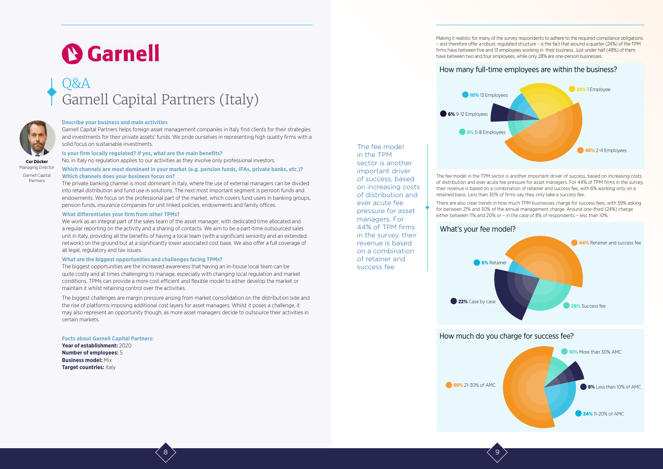

## **Describe your business and main activities**

Garnell Capital Partners helps foreign asset management companies in Italy find clients for their strategies and investments for their private assets' funds. We pride ourselves in representing high quality firms with a solid focus on sustainable investments.

## **Is your firm locally regulated? If yes, what are the main benefits?**

No, in Italy no regulation applies to our activities as they involve only professional investors.

The private banking channel is most dominant in Italy, where the use of external managers can be divided into retail distribution and fund use in solutions. The next most important segment is pension funds and endowments. We focus on the professional part of the market, which covers fund users in banking groups, pension funds, insurance companies for unit linked policies, endowments and family offices.

## **What differentiates your firm from other TPMs?**

We work as an integral part of the sales team of the asset manager, with dedicated time allocated and a regular reporting on the activity and a sharing of contacts. We aim to be a part-time outsourced sales unit in Italy, providing all the benefits of having a local team (with a significant seniority and an extended network) on the ground but at a significantly lower associated cost base. We also offer a full coverage of all legal, regulatory and tax issues.

### **Which channels are most dominant in your market (e.g. pension funds, IFAs, private banks, etc.)? Which channels does your business focus on?** Managing Director

## **What are the biggest opportunities and challenges facing TPMs?**

The biggest opportunities are the increased awareness that having an in-house local team can be quite costly and at times challenging to manage, especially with changing local regulation and market conditions. TPMs can provide a more cost efficient and flexible model to either develop the market or maintain it whilst retaining control over the activities.

The biggest challenges are margin pressure arising from market consolidation on the distribution side and the rise of platforms imposing additional cost layers for asset managers. Whilst it poses a challenge, it may also represent an opportunity though, as more asset managers decide to outsource their activities in certain markets.

## **Facts about Garnell Capital Partners:**

**Year of establishment:** 2020 **Number of employees:** 5 **Business model:** Mix **Target countries:** Italy

# **O** Garnell

# Q&A Garnell Capital Partners (Italy)



Garnell Capital Partners

Making it realistic for many of the survey respondents to adhere to the required compliance obligations – and therefore offer a robust, regulated structure – is the fact that around a quarter (24%) of the TPM



How much do you charge for success fee?

**59%** 21-30% of AMC



The fee model in the TPM sector is another important driver of success, based on increasing costs of distribution and ever acute fee pressure for asset managers. For 44% of TPM firms in the survey, their revenue is based on a combination of retainer and success fee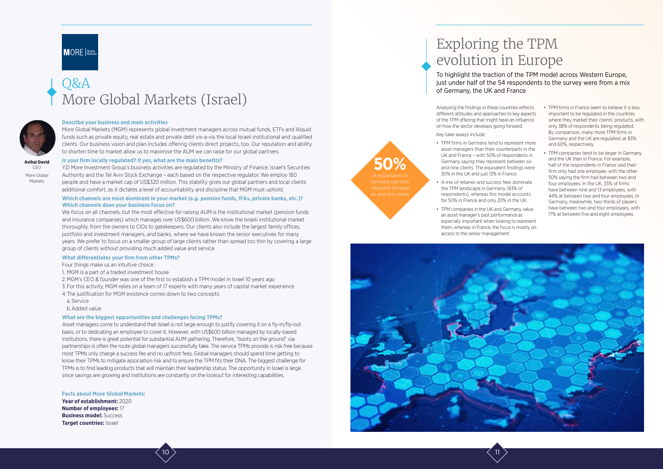

## **Describe your business and main activities**

More Global Markets (MGM) represents global investment managers across mutual funds, ETFs and illiquid funds such as private equity, real estate and private debt vis-a-vis the local Israeli institutional and qualified clients. Our business vision and plan includes offering clients direct projects, too. Our reputation and ability to shorten time to market allow us to maximise the AUM we can raise for our global partners.

## **Is your firm locally regulated? If yes, what are the main benefits?**

Y.D More Investment Group's business activities are regulated by the Ministry of Finance, Israel's Securities Authority and the Tel Aviv Stock Exchange – each based on the respective regulator. We employ 180 people and have a market cap of US\$320 million. This stability gives our global partners and local clients additional comfort, as it dictates a level of accountability and discipline that MGM must uphold.

We focus on all channels, but the most effective for raising AUM is the institutional market (pension funds and insurance companies) which manages over US\$600 billion. We know the Israeli institutional market thoroughly, from the owners to CIOs to gatekeepers. Our clients also include the largest family offices, portfolio and investment managers, and banks, where we have known the senior executives for many years. We prefer to focus on a smaller group of large clients rather than spread too thin by covering a large group of clients without providing much added value and service

## **Which channels are most dominant in your market (e.g. pension funds, IFAs, private banks, etc.)? Which channels does your business focus on?**

## To highlight the traction of the TPM model across Western Europe, just under half of the 54 respondents to the survey were from a mix

## **What differentiates your firm from other TPMs?**

- Four things make us an intuitive choice:
- 1. MGM is a part of a traded investment house
- 2.MGM's CEO & founder was one of the first to establish a TPM model in Israel 10 years ago
- 3.For this activity, MGM relies on a team of 17 experts with many years of capital market experience
- 4.The justification for MGM existence comes down to two concepts:
- a. Service
- b.Added value

## **What are the biggest opportunities and challenges facing TPMs?**

Asset managers come to understand that Israel is not large enough to justify covering it on a fly-in/fly-out basis, or to dedicating an employee to cover it. However, with US\$600 billion managed by locally-based institutions, there is great potential for substantial AUM gathering. Therefore, "boots on the ground" via partnerships is often the route global managers successfully take. The service TPMs provide is risk free because most TPMs only charge a success fee and no upfront fees. Global managers should spend time getting to know their TPMs to mitigate association risk and to ensure the TPM fits their DNA. The biggest challenge for TPMs is to find leading products that will maintain their leadership status. The opportunity in Israel is large since savings are growing and institutions are constantly on the lookout for interesting capabilities.

## **Facts about More Global Markets:**

**Year of establishment:** 2020 **Number of employees:** 17 **Business model:** Success **Target countries:** Israel

# Q&A More Global Markets (Israel)



Markets

## Global Markets

of Germany, the UK and France

# Exploring the TPM evolution in Europe

Analysing the findings in these countries reflects different attitudes and approaches to key aspects of the TPM offering that might have an influence on how the sector develops going forward.

Key take-aways include:

- TPM firms in Germany tend to represent more asset managers than their counterparts in the UK and France – with 50% of respondents in Germany saying they represent between six and nine clients. The equivalent findings were 30% in the UK and just 13% in France.
- A mix of retainer and success fees dominate the TPM landscape in Germany (83% of respondents), whereas this model accounts for 50% in France and only 20% in the UK.
- TPM companies in the UK and Germany value an asset manager's past performance as especially important when looking to represent them, whereas in France, the focus is mostly on access to the senior management.



- TPM firms in France seem to believe it is less important to be regulated in the countries where they market their clients' products, with only 38% of respondents being regulated. By comparison, many more TPM firms in Germany and the UK are regulated, at 83% and 60%, respectively.
- TPM companies tend to be larger in Germany and the UK than in France. For example, half of the respondents in France said their firm only had one employee, with the other 50% saying the firm had between two and four employees. In the UK, 33% of firms have between nine and 13 employees, with 44% at between two and four employees. In Germany, meanwhile, two-thirds of players have between two and four employees, with 17% at between five and eight employees.

**50%**  Germany said they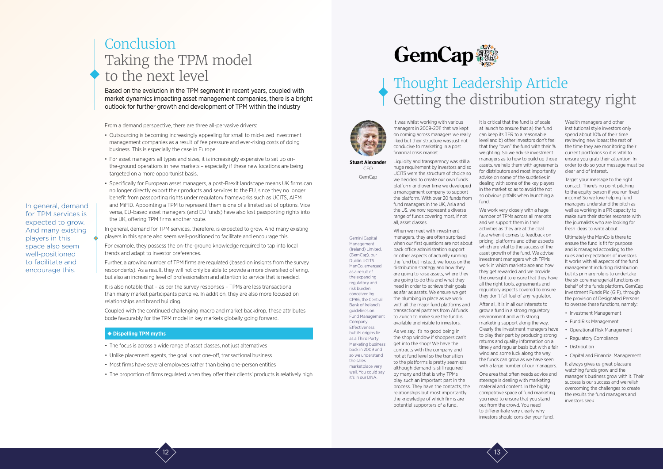It was whilst working with various managers in 2009-2011 that we kept on coming across managers we really liked but their structure was just not conducive to marketing in a post financial crisis market.

Liquidity and transparency was still a huge requirement by investors and so UCITS were the structure of choice so we decided to create our own funds platform and over time we developed a management company to support the platform. With over 20 funds from fund managers in the UK, Asia and the US, we now represent a diverse range of funds covering most, if not all, asset classes.

When we meet with investment managers, they are often surprised when our first questions are not about back office administration support or other aspects of actually running the fund but instead, we focus on the distribution strategy and how they are going to raise assets, where they are going to do this and what they need in order to achieve their goals as afar as assets. We ensure we get the plumbing in place as we work with all the major fund platforms and transactional partners from Allfunds to Zurich to make sure the fund is available and visible to investors.

After all, it is in all our interests to grow a fund in a strong regulatory environment and with strong marketing support along the way. Clearly the investment managers have to play their part by producing strong returns and quality information on a timely and regular basis but with a fair wind and some luck along the way the funds can grow as we have seen with a large number of our managers.

As we say, it's no good being in the shop window if shoppers can't get into the shop! We have the contracts with the company and not at fund level so the transition to the platforms is pretty seamless although demand is still required by many and that is why TPMs play such an important part in the process. They have the contacts, the relationships but most importantly the knowledge of which firms are potential supporters of a fund.

It is critical that the fund is of scale at launch to ensure that a) the fund can keep its TER to a reasonable level and b) other investors don't feel that they "own" the fund with their % weighting. So we advise investment managers as to how to build up those assets, we help them with agreements for distributors and most importantly advise on some of the subtleties in dealing with some of the key players in the market so as to avoid the not so obvious pitfalls when launching a

fund.

12  $\rightarrow$   $\langle$  13

We work very closely with a huge number of TPMs across all markets and we support them in their activities as they are at the coal face when it comes to feedback on pricing, platforms and other aspects which are vital to the success of the asset growth of the fund. We advise investment managers which TPMs work in which marketplace and how they get rewarded and we provide the oversight to ensure that they have all the right tools, agreements and regulatory aspects covered to ensure they don't fall foul of any regulator.

One area that often needs advice and steerage is dealing with marketing material and content. In the highly competitive space of fund marketing you need to ensure that you stand out from the crowd. You need to differentiate very clearly why investors should consider your fund.

Wealth managers and other institutional style investors only spend about 10% of their time reviewing new ideas; the rest of the time they are monitoring their current portfolios so it is vital to ensure you grab their attention. In order to do so your message must be clear and of interest.

Target your message to the right contact. There's no point pitching to the equity person if you run fixed income! So we love helping fund managers understand the pitch as well as working in a PR capacity to make sure their stories resonate with the journalists who are looking for fresh ideas to write about.

Ultimately the ManCo is there to ensure the fund is fit for purpose and is managed according to the rules and expectations of investors It works with all aspects of the fund management including distribution but its primary role is to undertake the six core managerial functions on behalf of the funds platform, GemCap Investment Funds Plc (GIF), through the provision of Designated Persons to oversee these functions, namely:

- Investment Management
- Fund Risk Management
- Operational Risk Management
- Regulatory Compliance
- Distribution
- Capital and Financial Management

It always gives us great pleasure watching funds grow and the manager's business grow with it. Their success is our success and we relish overcoming the challenges to create the results the fund managers and investors seek.

# Thought Leadership Article Getting the distribution strategy right



Gemini Capital Management (Ireland) Limited, (GemCap), our Dublin UCITS ManCo, emerged as a result of the expanding regulatory and risk burden conceived by CP86, the Central Bank of Ireland's guidelines on Fund Management Company Effectiveness but its origins lie as a Third Party Marketing business back in 2009 and so we understand the sales marketplace very well. You could say

it's in our DNA.

**Stuart Alexander** CEO

GemCap

Based on the evolution in the TPM segment in recent years, coupled with market dynamics impacting asset management companies, there is a bright outlook for further growth and development of TPM within the industry

# Conclusion Taking the TPM model to the next level

From a demand perspective, there are three all-pervasive drivers:

- Outsourcing is becoming increasingly appealing for small to mid-sized investment management companies as a result of fee pressure and ever-rising costs of doing business. This is especially the case in Europe.
- For asset managers all types and sizes, it is increasingly expensive to set up onthe-ground operations in new markets – especially if these new locations are being targeted on a more opportunist basis.
- Specifically for European asset managers, a post-Brexit landscape means UK firms can no longer directly export their products and services to the EU, since they no longer benefit from passporting rights under regulatory frameworks such as UCITS, AIFM and MiFID. Appointing a TPM to represent them is one of a limited set of options. Vice versa, EU-based asset managers (and EU funds) have also lost passporting rights into the UK, offering TPM firms another route.

In general, demand for TPM services, therefore, is expected to grow. And many existing players in this space also seem well-positioned to facilitate and encourage this.

For example, they possess the on-the-ground knowledge required to tap into local trends and adapt to investor preferences.

Further, a growing number of TPM firms are regulated (based on insights from the survey respondents). As a result, they will not only be able to provide a more diversified offering, but also an increasing level of professionalism and attention to service that is needed.

It is also notable that – as per the survey responses – TPMs are less transactional than many market participants perceive. In addition, they are also more focused on relationships and brand building.

Coupled with the continued challenging macro and market backdrop, these attributes bode favourably for the TPM model in key markets globally going forward.

- The focus is across a wide range of asset classes, not just alternatives
- Unlike placement agents, the goal is not one-off, transactional business
- Most firms have several employees rather than being one-person entities
- The proportion of firms regulated when they offer their clients' products is relatively high



## ◆ **Dispelling TPM myths**

In general, demand for TPM services is expected to grow. And many existing

players in this space also seem well-positioned to facilitate and encourage this.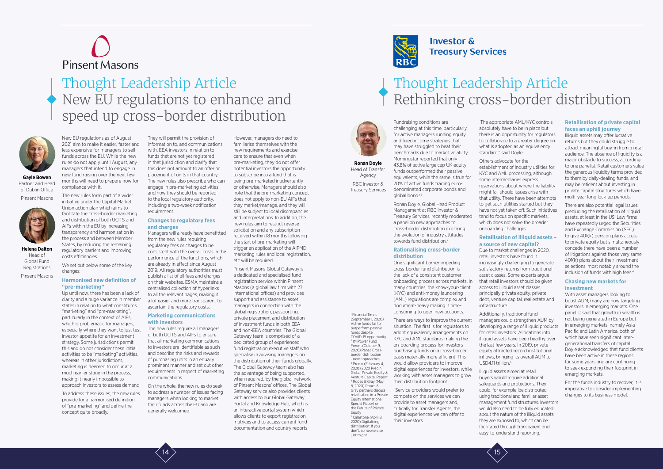New EU regulations as of August 2021 aim to make it easier, faster and less expensive for managers to sell funds across the EU. While the new rules do not apply until August, any managers that intend to engage in new fund raising over the next few months will need to prepare now for compliance with it.

The new rules form part of a wider initiative under the Capital Market Union action plan which aims to facilitate the cross-border marketing and distribution of both UCITS and AIFs within the EU by increasing transparency and harmonisation in the process and between Member States, by reducing the remaining regulatory barriers and improving costs efficiencies.

We set out below some of the key changes:

## **Harmonised new definition of "pre-marketing"**

Up until now, there has been a lack of clarity and a huge variance in member states in relation to what constitutes "marketing" and "pre-marketing", particularly in the context of AIFs, which is problematic for managers, especially where they want to just test investor appetite for an investment strategy. Some jurisdictions permit this and do not consider these initial activities to be "marketing" activities, whereas in other jurisdictions, marketing is deemed to occur at a much earlier stage in the process, making it nearly impossible to approach investors to assess demand.

To address these issues, the new rules provide for a harmonised definition of "pre-marketing" and define the concept quite broadly.

They will permit the provision of information to, and communications with, EEA investors in relation to funds that are not yet registered in that jurisdiction and clarify that this does not amount to an offer or placement of units in that country. The new rules also prescribe who can engage in pre-marketing activities and how they should be reported to the local regulatory authority, including a two-week notification requirement.

## **Changes to regulatory fees and charges**

Managers will already have benefitted from the new rules requiring regulatory fees or charges to be consistent with the overall costs in the performance of the functions, which are already in effect since August 2019. All regulatory authorities must publish a list of all fees and charges on their websites. ESMA maintains a centralised collection of hyperlinks to all the relevant pages, making it a lot easier and more transparent to ascertain the regulatory costs.



# Thought Leadership Article New EU regulations to enhance and speed up cross-border distribution

## **Marketing communications with investors**

The new rules require all managers of both UCITS and AIFs to ensure that all marketing communications to investors are identifiable as such and describe the risks and rewards of purchasing units in an equally prominent manner and set out other requirements in respect of marketing communications.

On the whole, the new rules do seek to address a number of issues facing managers when looking to market their funds across the EU and are generally welcomed.

However, managers do need to familiarise themselves with the new requirements and exercise care to ensure that even when pre-marketing, they do not offer potential investors the opportunity to subscribe into a fund that is being pre-marketed inadvertently or otherwise. Managers should also note that the pre-marketing concept does not apply to non-EU AIFs that they market/manage, and they will still be subject to local discrepancies and interpretations. In addition, the new rules aim to restrict reverse solicitation and any subscription received within 18 months following the start of pre-marketing will trigger an application of the AIFMD marketing rules and local registration, etc will be required.

> Additionally, traditional fund managers could strengthen AUM by developing a range of illiquid products for retail investors. Allocations into illiquid assets have been healthy over the last few years. In 2019, private equity attracted record institutional inflows, bringing its overall AUM to USD4.11 trillion.<sup>3</sup>

Pinsent Masons Global Gateway is a dedicated and specialised fund registration service within Pinsent Masons (a global law firm with 27 international offices) and provides support and assistance to asset managers in connection with the global registration, passporting, private placement and distribution of investment funds in both EEA and non-EEA countries. The Global Gateway team is comprised of a dedicated group of experienced fund registration executive staff who specialise in advising managers on the distribution of their funds globally. The Global Gateway team also has the advantage of being supported, when required, by the global network of Pinsent Masons' offices. The Global Gateway service also provides clients with access to our Global Gateway Portal and Knowledge Hub, which is an interactive portal system which allows clients to export registration matrices and to access current fund documentation and country reports.



## Investor  $\&$ **Treasury Services**

There are also potential legal issues precluding the retailisation of illiquid assets, at least in the US. Law firms have repeatedly urged the Securities and Exchange Commission (SEC) to give 401(k) pension plans access to private equity but simultaneously concede there have been a number of litigations against those very same 401(k) plans about their investment selections, most notably around the inclusion of funds with high fees.<sup>4</sup>

challenging at this time, particularly for active managers running equity and fixed income strategies that may have struggled to beat their benchmarks due to market volatility. Morningstar reported that only 43.8% of active large cap UK equity funds outperformed their passive equivalents, while the same is true for 20% of active funds trading eurodenominated corporate bonds and global bonds.1

5 Calastone (April 8, 2020) Digitalising distribution: If you don't, someone else just might

Ronan Doyle, Global Head Product Management at RBC Investor & Treasury Services, recently moderated a panel on new approaches to cross-border distribution exploring the evolution of industry attitudes towards fund distribution.2

## **Rationalising cross-border distribution**

One significant barrier impeding cross-border fund distribution is the lack of a consistent customer onboarding process across markets. In many countries, the know-your-client (KYC) and anti-money laundering (AML) regulations are complex and document-heavy making it timeconsuming to open new accounts.

There are ways to improve the current situation. The first is for regulators to adopt equivalency arrangements on KYC and AML standards making the on-boarding process for investors purchasing funds on a cross-border basis materially more efficient. This would allow providers to improve digital experiences for investors, while working with asset managers to grow their distribution footprint.

"Service providers would prefer to compete on the services we can provide to asset managers and, critically for Transfer Agents, the digital experiences we can offer to their investors.

 The appropriate AML/KYC controls absolutely have to be in place but there is an opportunity for regulators to collaborate to a greater degree on what is adopted as an equivalency

standard," said Doyle.

## Others advocate for the

establishment of industry utilities for KYC and AML processing, although some intermediaries express reservations about where the liability might fall should issues arise with that utility. There have been attempts to get such utilities started but they have not yet taken off. Such initiatives tend to focus on specific markets, which does not solve the broader onboarding challenges.

## **Retailisation of illiquid assets – a source of new capital?**

Due to market challenges in 2020, retail investors have found it increasingly challenging to generate satisfactory returns from traditional asset classes. Some experts argue that retail investors should be given access to illiquid asset classes, principally private equity, private debt, venture capital, real estate and infrastructure.

Illiquid assets aimed at retail buyers would require additional safeguards and protections. They could, for example, be distributed using traditional and familiar asset management fund structures. Investors would also need to be fully educated about the nature of the illiquid assets they are exposed to, which can be facilitated through transparent and easy-to-understand reporting.

## **Retailisation of private capital faces an uphill journey**

Illiquid assets may offer lucrative returns but they could struggle to attract meaningful buy-in from a retail audience. The absence of liquidity is a major obstacle to success, according to one panelist. Retail customers value the generous liquidity terms provided to them by daily-dealing funds, and may be reticent about investing in private capital structures which have multi-year long lock-up periods.

## **Chasing new markets for investment**

With asset managers looking to boost AUM, many are now targeting investors in emerging markets. One panelist said that growth in wealth is not being generated in Europe but in emerging markets, namely Asia Pacific and Latin America, both of which have seen significant intergenerational transfers of capital. Doyle acknowledged that fund clients have been active in these regions for some years and are continuing to seek expanding their footprint in emerging markets.

For the funds industry to recover, it is imperative to consider implementing changes to its business model.

# Thought Leadership Article Rethinking cross-border distribution





**Gayle Bowen** Partner and Head of Dublin Office Pinsent Masons



**Helena Dalton** Head of Global Fund Registrations

Pinsent Masons

**Ronan Doyle** Head of Transfer Agency RBC Investor & Treasury Services

1 Financial Times (September 1, 2020) Active funds fail to outperform passive funds despite COVID-19 opportunity 2 IM|Power Fund Forum (October 9, 2020) Panel: Crossborder distribution - new approaches <sup>3</sup> Preqin (February 4, 2020) 2020 Preqin Global Private Equity & Venture Capital Report 4 Ropes & Gray (May 8, 2020) Ropes & Gray partners discuss retailisation in a Private Equity International Special Report on the Future of Private

Equity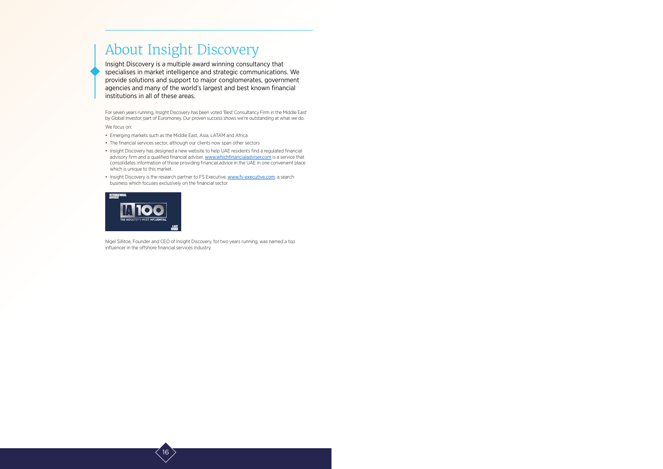16

# About Insight Discovery

Insight Discovery is a multiple award winning consultancy that specialises in market intelligence and strategic communications. We provide solutions and support to major conglomerates, government agencies and many of the world's largest and best known financial institutions in all of these areas.

For seven years running, Insight Discovery has been voted 'Best Consultancy Firm in the Middle East' by Global Investor, part of Euromoney. Our proven success shows we're outstanding at what we do. We focus on:

- Emerging markets such as the Middle East, Asia, LATAM and Africa
- The financial services sector, although our clients now span other sectors
- Insight Discovery has designed a new website to help UAE residents find a regulated financial advisory firm and a qualified financial adviser. www.whichfinancialadviser.com is a service that consolidates information of those providing financial advice in the UAE in one convenient place which is unique to this market.
- Insight Discovery is the research partner to FS Executive, www.fs-executive.com, a search business which focuses exclusively on the financial sector



Nigel Sillitoe, Founder and CEO of Insight Discovery, for two years running, was named a top influencer in the offshore financial services industry.